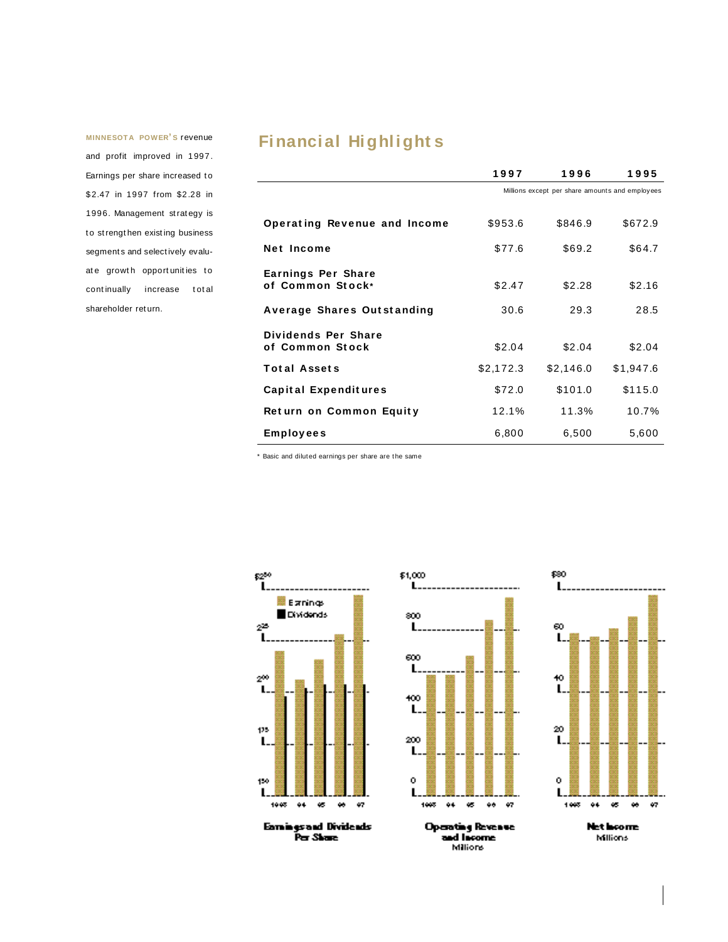**MINNESOT A POWER' S** revenue and profit improved in 1997. Earnings per share increased to \$ 2.47 in 1997 from \$2 .28 in 1996. Management st rat egy is to strengthen existing business segments and selectively evaluate growth opportunities to continually increase total shareholder ret urn.

# **Financial Highlight s**

|                                               | 1997                                            | 1996      | 1995      |
|-----------------------------------------------|-------------------------------------------------|-----------|-----------|
|                                               | Millions except per share amounts and employees |           |           |
| Operating Revenue and Income                  | \$953.6                                         | \$846.9   | \$672.9   |
| <b>Net Income</b>                             | \$77.6                                          | \$69.2    | \$64.7    |
| <b>Earnings Per Share</b><br>of Common Stock* | \$2.47                                          | \$2.28    | \$2.16    |
| Average Shares Outstanding                    | 30.6                                            | 29.3      | 28.5      |
| Dividends Per Share<br>of Common Stock        | \$2.04                                          | \$2.04    | \$2.04    |
| <b>Total Assets</b>                           | \$2,172.3                                       | \$2,146.0 | \$1,947.6 |
| <b>Capital Expenditures</b>                   | \$72.0                                          | \$101.0   | \$115.0   |
| Return on Common Equity                       | 12.1%                                           | 11.3%     | 10.7%     |
| Employees                                     | 6,800                                           | 6,500     | 5,600     |

\* Basic and dilut ed earnings per share are t he same





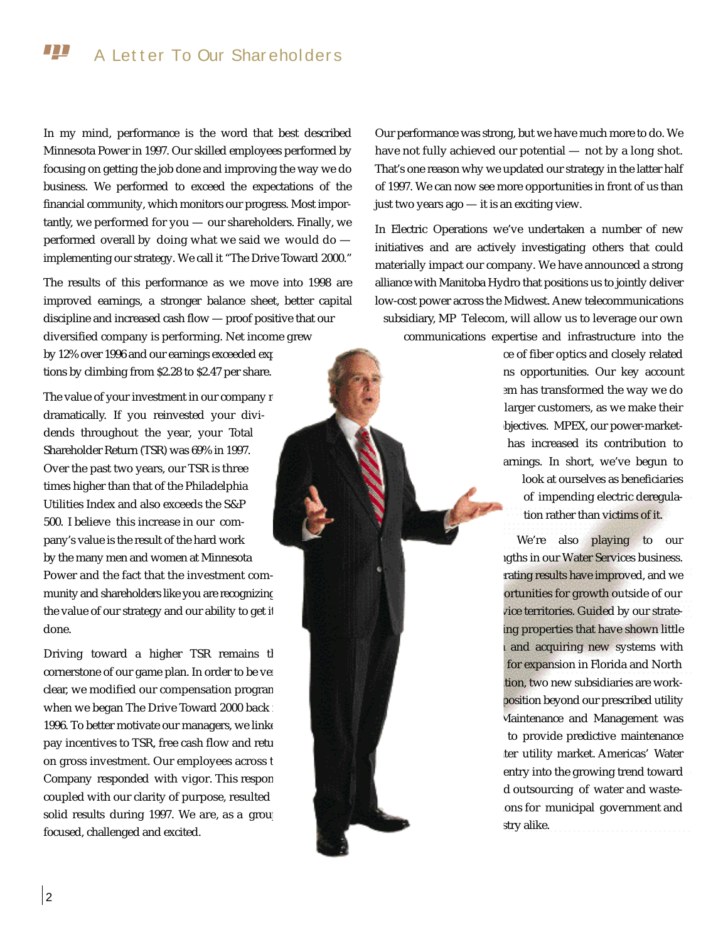#### $\bm{\Pi}$ A Letter To Our Shareholders

In my mind, performance is the word that best described Minnesota Power in 1997. Our skilled employees performed by focusing on getting the job done and improving the way we do business. We performed to exceed the expectations of the financial community, which monitors our progress. Most importantly, we performed for you  $-$  our shareholders. Finally, we performed overall by doing what we said we would do implementing our strategy. We call it "The Drive Toward 2000."

The results of this performance as we move into 1998 are improved earnings, a stronger balance sheet, better capital discipline and increased cash flow  $-$  proof positive that our diversified company is performing. Net income grew by 12% over 1996 and our earnings exceeded exp tions by climbing from \$2.28 to \$2.47 per share.

The value of your investment in our company r dramatically. If you reinvested your dividends throughout the year, your Total Shareholder Return (TSR) was 69% in 1997. Over the past two years, our TSR is three times higher than that of the Philadelphia Utilities Index and also exceeds the S&P 500. I believe this increase in our company's value is the result of the hard work by the many men and women at Minnesota Power and the fact that the investment community and shareholders like you are recognizing the value of our strategy and our ability to get it done.

Driving toward a higher TSR remains tl cornerstone of our game plan. In order to be very clear, we modified our compensation progran when we began The Drive Toward 2000 back  $\therefore$ 1996. To better motivate our managers, we linke pay incentives to TSR, free cash flow and retu on gross investment. Our employees across t Company responded with vigor. This respon coupled with our clarity of purpose, resulted solid results during 1997. We are, as a group focused, challenged and excited.

Our performance was strong, but we have much more to do. We have not fully achieved our potential — not by a long shot. That's one reason why we updated our strategy in the latter half of 1997. We can now see more opportunities in front of us than just two years ago — it is an exciting view.

In Electric Operations we've undertaken a number of new initiatives and are actively investigating others that could materially impact our company. We have announced a strong alliance with Manitoba Hydro that positions us to jointly deliver low-cost power across the Midwest. Anew telecommunications subsidiary, MP Telecom, will allow us to leverage our own communications expertise and infrastructure into the

> ce of fiber optics and closely related ns opportunities. Our key account em has transformed the way we do larger customers, as we make their bjectives. MPEX, our power-markethas increased its contribution to arnings. In short, we've begun to look at ourselves as beneficiaries of impending electric deregulation rather than victims of it.

> We're also playing to our igths in our Water Services business. rating results have improved, and we ortunities for growth outside of our vice territories. Guided by our strateing properties that have shown little and acquiring new systems with for expansion in Florida and North tion, two new subsidiaries are workposition beyond our prescribed utility Maintenance and Management was to provide predictive maintenance ter utility market. Americas' Water entry into the growing trend toward d outsourcing of water and wasteons for municipal government and stry alike.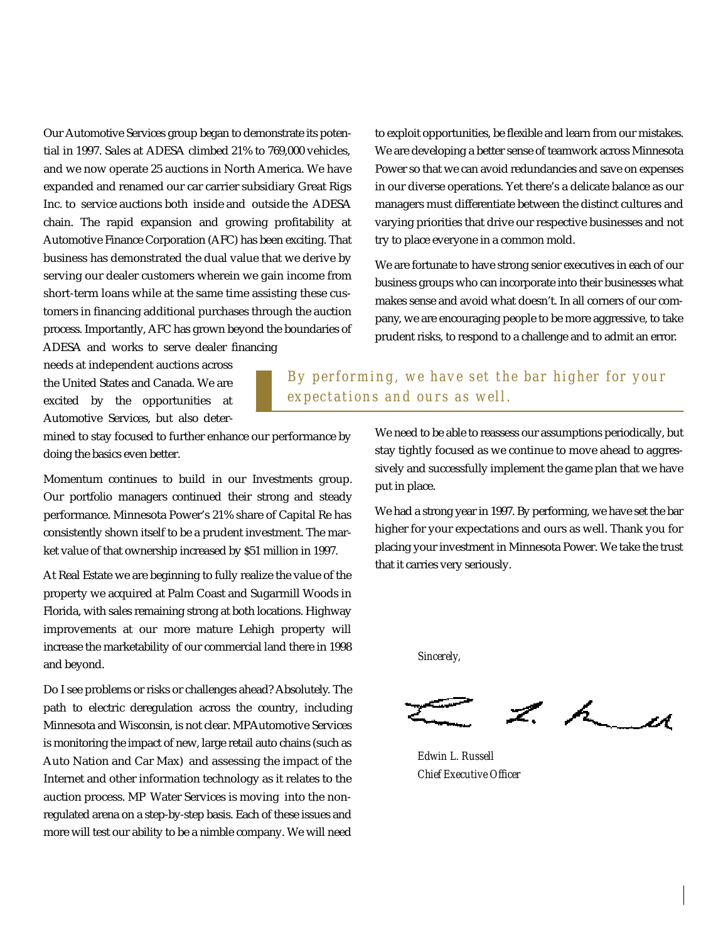Our Automotive Services group began to demonstrate its potential in 1997. Sales at ADESA climbed 21% to 769,000 vehicles, and we now operate 25 auctions in North America. We have expanded and renamed our car carrier subsidiary Great Rigs Inc. to service auctions both inside and outside the ADESA chain. The rapid expansion and growing profitability at Automotive Finance Corporation (AFC) has been exciting. That business has demonstrated the dual value that we derive by serving our dealer customers wherein we gain income from short-term loans while at the same time assisting these customers in financing additional purchases through the auction process. Importantly, AFC has grown beyond the boundaries of ADESA and works to serve dealer financing

needs at independent auctions across the United States and Canada. We are excited by the opportunities at Automotive Services, but also deterWe are developing a better sense of teamwork across Minnesota Power so that we can avoid redundancies and save on expenses in our diverse operations. Yet there's a delicate balance as our managers must differentiate between the distinct cultures and varying priorities that drive our respective businesses and not try to place everyone in a common mold.

to exploit opportunities, be flexible and learn from our mistakes.

We are fortunate to have strong senior executives in each of our business groups who can incorporate into their businesses what makes sense and avoid what doesn't. In all corners of our company, we are encouraging people to be more aggressive, to take prudent risks, to respond to a challenge and to admit an error.

## *By performing, we have set the bar higher for your expectations and ours as well.*

mined to stay focused to further enhance our performance by doing the basics even better.

Momentum continues to build in our Investments group. Our portfolio managers continued their strong and steady performance. Minnesota Power's 21% share of Capital Re has consistently shown itself to be a prudent investment. The market value of that ownership increased by \$51 million in 1997.

At Real Estate we are beginning to fully realize the value of the p roperty we acquired at Palm Coast and Sugarmill Woods in Florida, with sales remaining strong at both locations. Highway improvements at our more mature Lehigh property will increase the marketability of our commercial land there in 1998 and beyond.

Do I see problems or risks or challenges ahead? Absolutely. The path to electric deregulation across the country, including Minnesota and Wisconsin, is not clear. MPAutomotive Services is monitoring the impact of new, large retail auto chains (such as Auto Nation and Car Max) and assessing the impact of the Internet and other information technology as it relates to the auction process. MP Water Services is moving into the nonregulated arena on a step-by-step basis. Each of these issues and more will test our ability to be a nimble company. We will need We need to be able to reassess our assumptions periodically, but stay tightly focused as we continue to move ahead to aggressively and successfully implement the game plan that we have put in place.

We had a strong year in 1997. By performing, we have set the bar higher for your expectations and ours as well. Thank you for placing your investment in Minnesota Power. We take the trust that it carries very seriously.

*S i n c e re l y,*

 $z \sim u$ 

*Edwin L. Russell Chief Executive Officer*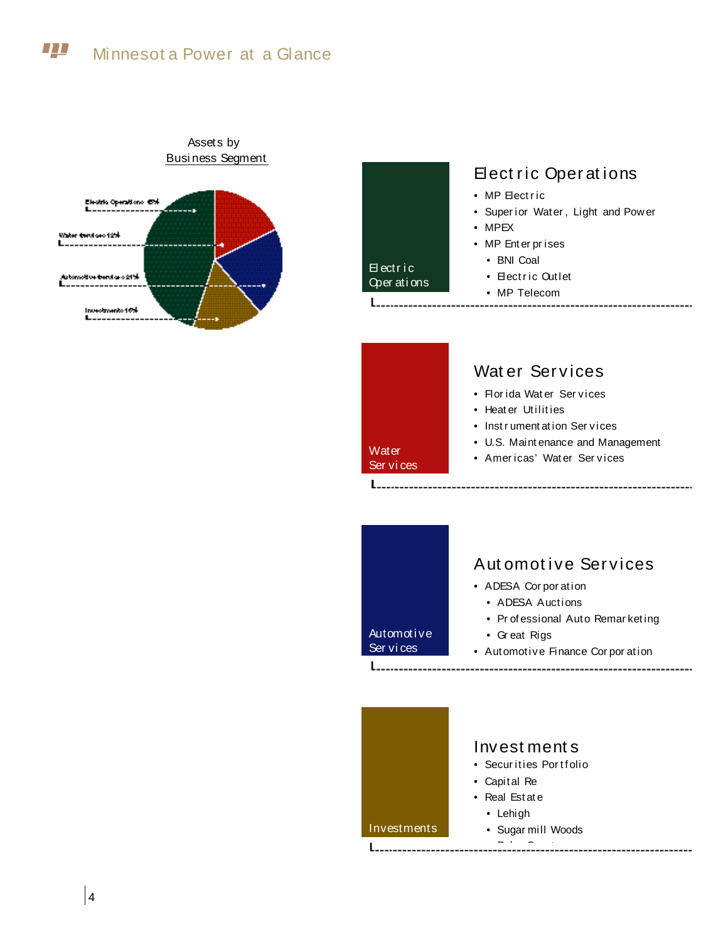#### **TTT** Minnesot a Power at a Glance



## Assets by Busi ness Segment

# Elect ric Operations • MP Electric

- Super ior Water , Light and Pow er
- MPEX

El ectr i c Oper ati ons

**Water** Ser vi ces

**Investments** 

- MP Ent er pr ises
	- BNI Coal
	- Electric Outlet
	- MP Telecom
- -----------------

# Wat er Services

- Flor ida Wat er Ser vices
- Heater Utilities
- Instrument at ion Services
- U.S. Maint enance and Management
- Americas' Water Services

# Aut omot ive Ser vices • ADESA Cor por ation • ADESA Auctions • Pr of essional Auto Remar ket ing Automoti ve • Gr eat Rigs Ser vi ces • Automotive Finance Corporation Invest ment s

- Securities Portfolio
- Capit al Re
- Real Est at e
- Lehigh
- Sugar mill Woods
- $-$  Palm Coast  $-$

4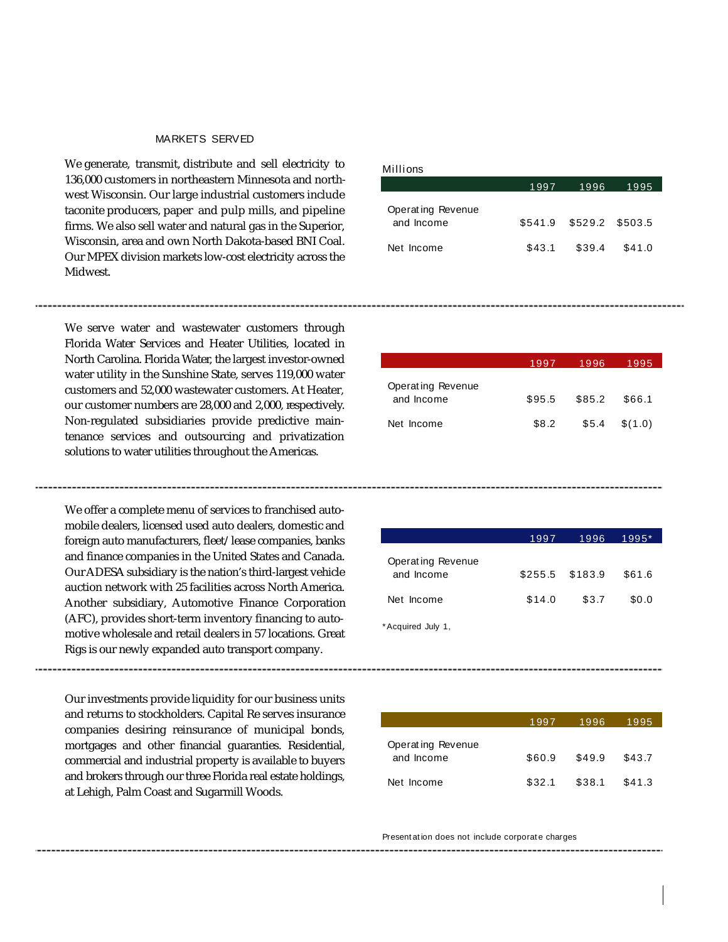### MARKETS SERVED

We generate, transmit, distribute and sell electricity to 136,000 customers in northeastern Minnesota and northwest Wisconsin. Our large industrial customers include taconite producers, paper and pulp mills, and pipeline firms. We also sell water and natural gas in the Superior, Wisconsin, area and own North Dakota-based BNI Coal. Our MPEX division markets low-cost electricity across the Midwest.

We serve water and wastewater customers through Florida Water Services and Heater Utilities, located in North Carolina. Florida Water, the largest investor-owned water utility in the Sunshine State, serves 119,000 water customers and 52,000 wastewater customers. At Heater, our customer numbers are 28,000 and 2,000, respectively. Non-regulated subsidiaries provide predictive maintenance services and outsourcing and privatization solutions to water utilities throughout the Americas.

We offer a complete menu of services to franchised automobile dealers, licensed used auto dealers, domestic and foreign auto manufacturers, fleet/lease companies, banks and finance companies in the United States and Canada. Our ADESA subsidiary is the nation's third-largest vehicle auction network with 25 facilities across North America. Another subsidiary, Automotive Finance Corporation (AFC), provides short-term inventory financing to automotive wholesale and retail dealers in 57 locations. Great Rigs is our newly expanded auto transport company.

Our investments provide liquidity for our business units and returns to stockholders. Capital Re serves insurance companies desiring reinsurance of municipal bonds, mortgages and other financial guaranties. Residential, commercial and industrial property is available to buyers and brokers through our three Florida real estate holdings, at Lehigh, Palm Coast and Sugarmill Woods.

#### Millions

|                                 | 1997   | 1996                    | 1995   |
|---------------------------------|--------|-------------------------|--------|
| Operating Revenue<br>and Income |        | \$541.9 \$529.2 \$503.5 |        |
| Net Income                      | \$43.1 | \$39.4                  | \$41.0 |

|                                 | 1997   | 1996   | 1995    |
|---------------------------------|--------|--------|---------|
| Operating Revenue<br>and Income | \$95.5 | \$85.2 | \$66.1  |
| Net Income                      | \$8.2  | \$5.4  | \$(1.0) |

|                                 | 1997            | 1996  | $1995*$ |
|---------------------------------|-----------------|-------|---------|
| Operating Revenue<br>and Income | \$255.5 \$183.9 |       | \$61.6  |
| Net Income                      | \$14.0          | \$3.7 | \$0.0   |

\*Acquired July 1,

|                                 | 1997   | 1996   | 1995   |
|---------------------------------|--------|--------|--------|
| Operating Revenue<br>and Income | \$60.9 | \$49.9 | \$43.7 |
| Net Income                      | \$32.1 | \$38.1 | \$41.3 |

Present at ion does not include corporat e charges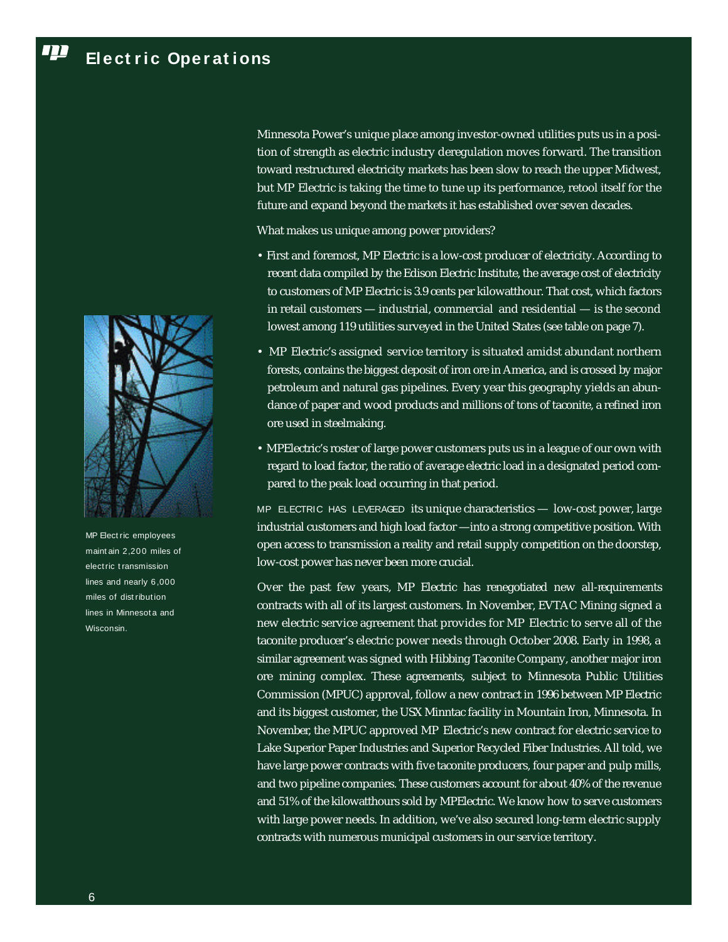#### T **Ele ct r ic Ope r at ions**



MP Elect ric employees maint ain 2,200 miles of elect ric t ransmission lines and nearly 6 ,000 miles of dist ribution lines in Minnesot a and Wisconsin.

Minnesota Power's unique place among investor-owned utilities puts us in a position of strength as electric industry deregulation moves forward. The transition toward restructured electricity markets has been slow to reach the upper Midwest, but MP Electric is taking the time to tune up its performance, retool itself for the future and expand beyond the markets it has established over seven decades.

What makes us unique among power providers?

- First and foremost, MP Electric is a low-cost producer of electricity. According to recent data compiled by the Edison Electric Institute, the average cost of electricity to customers of MP Electric is 3.9 cents per kilowatthour. That cost, which factors in retail customers — industrial, commercial and residential — is the second lowest among 119 utilities surveyed in the United States (see table on page 7).
- MP Electric's assigned service territory is situated amidst abundant northern forests, contains the biggest deposit of iron ore in America, and is crossed by major petroleum and natural gas pipelines. Every year this geography yields an abundance of paper and wood products and millions of tons of taconite, a refined iron ore used in steelmaking.
- MPElectric's roster of large power customers puts us in a league of our own with regard to load factor, the ratio of average electric load in a designated period compared to the peak load occurring in that period.

MP ELECTRIC HAS LEVERAGED its unique characteristics - low-cost power, large industrial customers and high load factor -- into a strong competitive position. With open access to transmission a reality and retail supply competition on the doorstep, low-cost power has never been more crucial.

Over the past few years, MP Electric has renegotiated new all-requirements contracts with all of its largest customers. In November, EVTAC Mining signed a new electric service agreement that provides for MP Electric to serve all of the taconite producer's electric power needs through October 2008. Early in 1998, a similar agreement was signed with Hibbing Taconite Company, another major iron ore mining complex. These agreements, subject to Minnesota Public Utilities Commission (MPUC) approval, follow a new contract in 1996 between MP Electric and its biggest customer, the USX Minntac facility in Mountain Iron, Minnesota. In November, the MPUC approved MP Electric's new contract for electric service to Lake Superior Paper Industries and Superior Recycled Fiber Industries. All told, we have large power contracts with five taconite producers, four paper and pulp mills, and two pipeline companies. These customers account for about 40% of the revenue and 51% of the kilowatthours sold by MPElectric. We know how to serve customers with large power needs. In addition, we've also secured long-term electric supply contracts with numerous municipal customers in our service territory.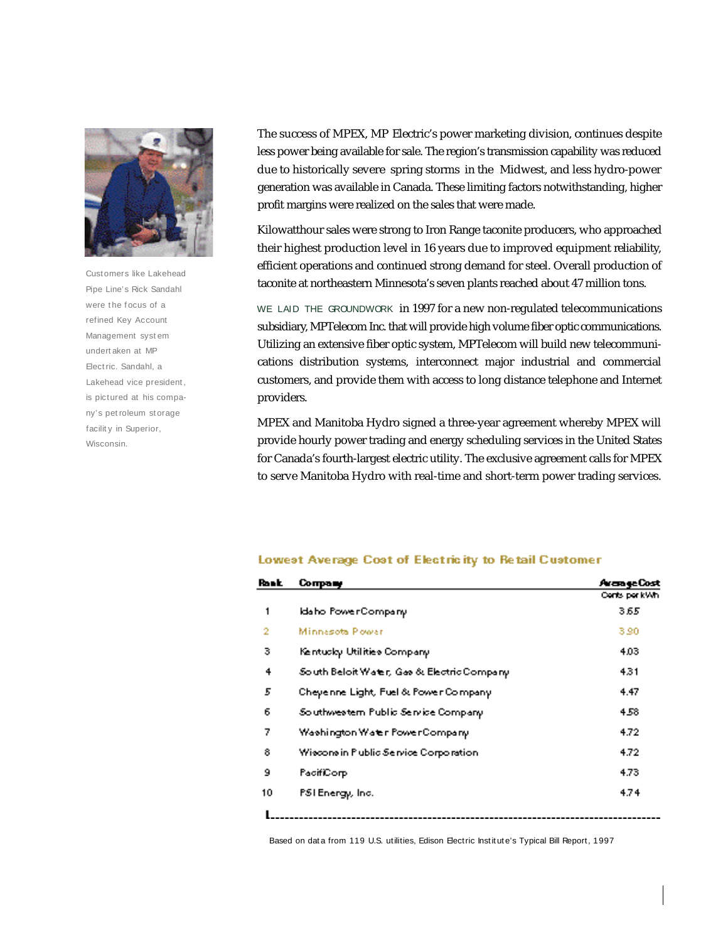

Cust omers like Lakehead Pipe Line's Rick Sandahl were the focus of a refined Key Account Management syst em undert aken at MP Elect ric. Sandahl, a Lakehead vice president, is pictured at his company's pet roleum st orage facility in Superior, Wisconsin.

The success of MPEX, MP Electric's power marketing division, continues despite less power being available for sale. The region's transmission capability was reduced due to historically severe spring storms in the Midwest, and less hydro-power generation was available in Canada. These limiting factors notwithstanding, higher profit margins were realized on the sales that were made.

Kilowatthour sales were strong to Iron Range taconite producers, who approached their highest production level in 16 years due to improved equipment reliability, efficient operations and continued strong demand for steel. Overall production of taconite at northeastern Minnesota's seven plants reached about 47 million tons.

WE LAID THE GROUNDWORK in 1997 for a new non-regulated telecommunications subsidiary, MPTelecom Inc. that will provide high volume fiber optic communications. Utilizing an extensive fiber optic system, MPTelecom will build new telecommunications distribution systems, interconnect major industrial and commercial customers, and provide them with access to long distance telephone and Internet providers.

MPEX and Manitoba Hydro signed a three-year agreement whereby MPEX will p rovide hourly power trading and energy scheduling services in the United States for Canada's fourth-largest electric utility. The exclusive agreement calls for MPEX to serve Manitoba Hydro with real-time and short-term power trading services.

#### Lowest Average Cost of Electricity to Retail Customer

| Rosk | Соправу                                     | Avange Cost   |
|------|---------------------------------------------|---------------|
|      |                                             | Cents per kWh |
| 1    | Idaho PowerCompany                          | 3.65          |
| 2    | Minnasota Powar                             | 3.90          |
| з    | Kentucky Utilities Company                  | 4.03          |
| 4    | South Beloit Water, Gas & Electric Company. | 4.31          |
| 5    | Cheyenne Light, Fuel & Power Company.       | 4.47          |
| 6    | Southwestern Public Service Company.        | 4.58          |
| 7    | Washington Water PowerCompany.              | 4.72          |
| 8    | Wiscons in Public Service Corporation.      | 4.72          |
| 9    | PacifiCorp                                  | 4.73          |
| 10   | PSI Energy, Inc.                            | 4.74          |
|      |                                             |               |

Based on data from 119 U.S. utilities, Edison Electric Institute's Typical Bill Report, 1997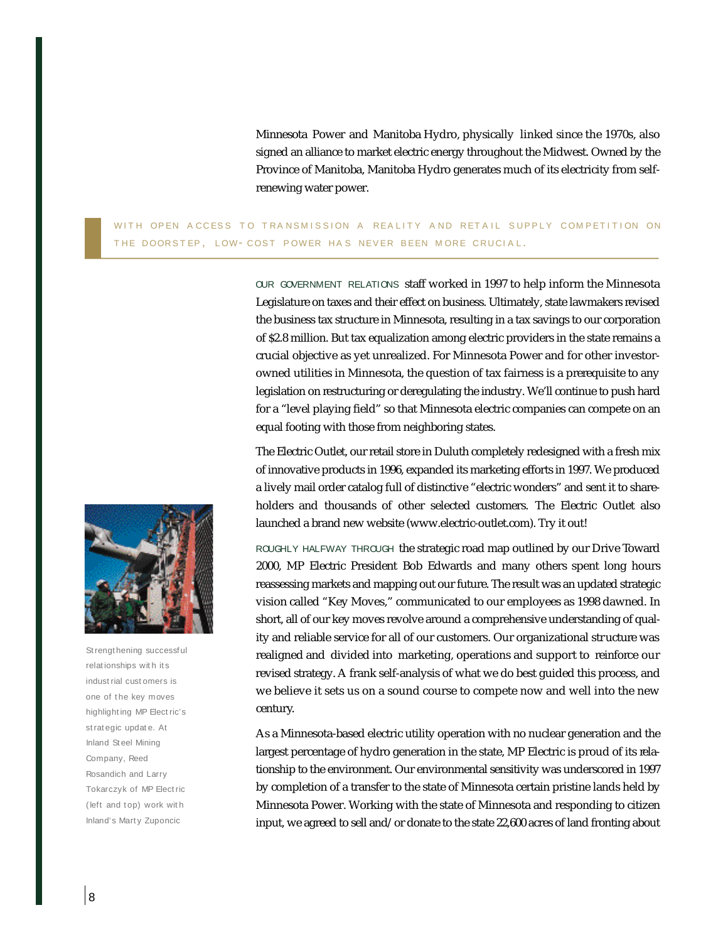Minnesota Power and Manitoba Hydro, physically linked since the 1970s, also signed an alliance to market electric energy throughout the Midwest. Owned by the Province of Manitoba, Manitoba Hydro generates much of its electricity from selfrenewing water power.

WITH OPEN ACCESS TO TRANSMISSION A REALITY AND RETAIL SUPPLY COMPETITION ON THE DOORSTEP, LOW- COST POWER HAS NEVER BEEN MORE CRUCIAL.

> OUR GOVERNMENT RELATIONS staff worked in 1997 to help inform the Minnesota Legislature on taxes and their effect on business. Ultimately, state lawmakers revised the business tax structure in Minnesota, resulting in a tax savings to our corporation of \$2.8 million. But tax equalization among electric providers in the state remains a crucial objective as yet unrealized. For Minnesota Power and for other investorowned utilities in Minnesota, the question of tax fairness is a prerequisite to any legislation on restructuring or deregulating the industry. We'll continue to push hard for a "level playing field" so that Minnesota electric companies can compete on an equal footing with those from neighboring states.

> The Electric Outlet, our retail store in Duluth completely redesigned with a fresh mix of innovative products in 1996, expanded its marketing efforts in 1997. We produced a lively mail order catalog full of distinctive "electric wonders" and sent it to shareholders and thousands of other selected customers. The Electric Outlet also launched a brand new website (www.electric-outlet.com). Try it out!

> ROUGHLY HALFWAY THROUGH the strategic road map outlined by our Drive Toward 2000, MP Electric President Bob Edwards and many others spent long hours reassessing markets and mapping out our future. The result was an updated strategic vision called "Key Moves," communicated to our employees as 1998 dawned. In short, all of our key moves revolve around a comprehensive understanding of quality and reliable service for all of our customers. Our organizational structure was realigned and divided into marketing, operations and support to reinforce our revised strategy. A frank self-analysis of what we do best guided this process, and we believe it sets us on a sound course to compete now and well into the new century.

> As a Minnesota-based electric utility operation with no nuclear generation and the largest percentage of hydro generation in the state, MP Electric is proud of its relationship to the environment. Our environmental sensitivity was underscored in 1997 by completion of a transfer to the state of Minnesota certain pristine lands held by Minnesota Power. Working with the state of Minnesota and responding to citizen input, we agreed to sell and/or donate to the state 22,600 acres of land fronting about



St rengt hening successf ul relat ionships wit h it s indust rial cust omers is one of the key moves highlight ing MP Elect ric's st rat egic updat e. At Inland St eel Mining Company, Reed Rosandich and Larry Tokarczyk of MP Elect ric (left and top) work with Inland's Mart y Zuponcic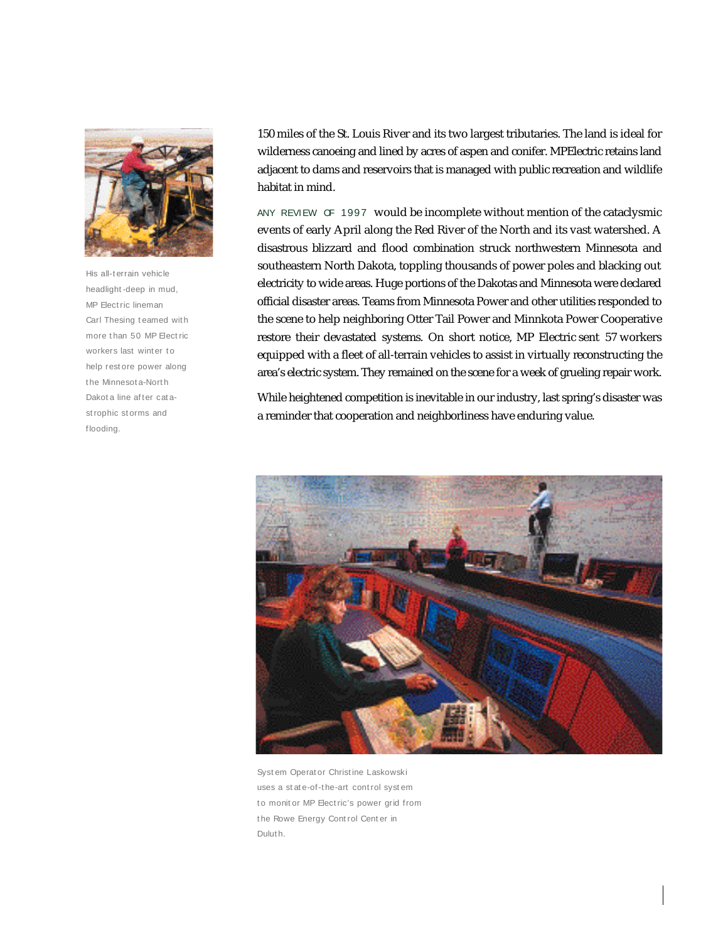

His all-t errain vehicle headlight -deep in mud, MP Elect ric lineman Carl Thesing t eamed wit h more t han 50 MP Elect ric workers last winter to help rest ore power along t he Minnesot a-Nort h Dakot a line after catast rophic st orms and f looding.

150 miles of the St. Louis River and its two largest tributaries. The land is ideal for wilderness canoeing and lined by acres of aspen and conifer. MPElectric retains land adjacent to dams and reservoirs that is managed with public recreation and wildlife habitat in mind.

ANY REVIEW OF 1997 would be incomplete without mention of the cataclysmic events of early April along the Red River of the North and its vast watershed. A disastrous blizzard and flood combination struck northwestern Minnesota and southeastern North Dakota, toppling thousands of power poles and blacking out electricity to wide areas. Huge portions of the Dakotas and Minnesota were declared official disaster areas. Teams from Minnesota Power and other utilities responded to the scene to help neighboring Otter Tail Power and Minnkota Power Cooperative restore their devastated systems. On short notice, MP Electric sent 57 workers equipped with a fleet of all-terrain vehicles to assist in virtually reconstructing the area's electric system. They remained on the scene for a week of grueling repair work.

While heightened competition is inevitable in our industry, last spring's disaster was a reminder that cooperation and neighborliness have enduring value.



Syst em Operat or Christ ine Laskowski uses a st at e-of-t he-art cont rol syst em to monitor MP Electric's power grid from t he Rowe Energy Cont rol Cent er in Dulut h.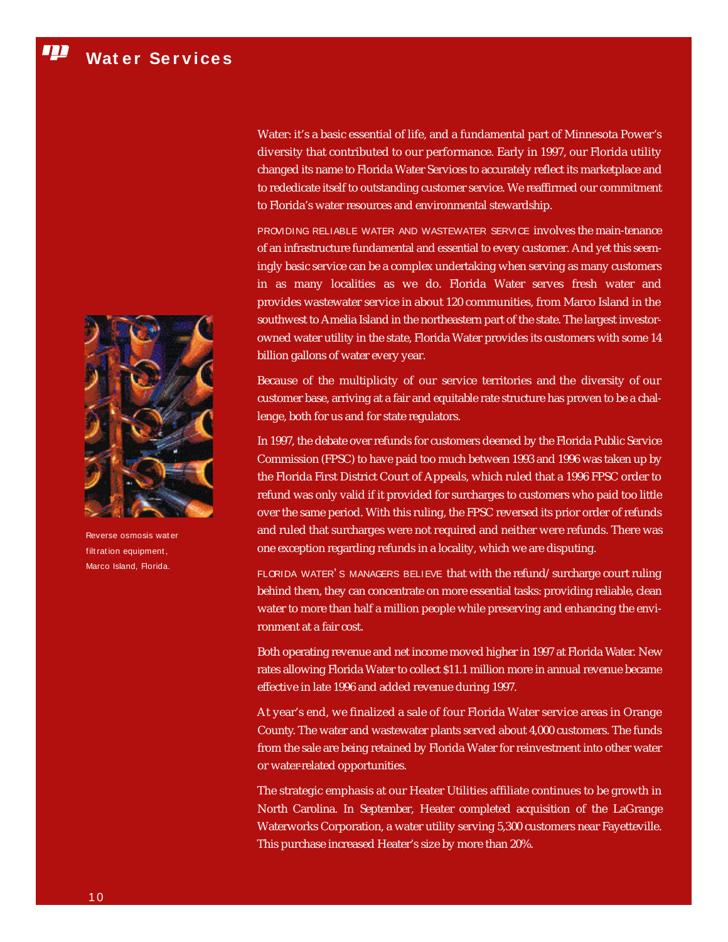Water: it's a basic essential of life, and a fundamental part of Minnesota Power's diversity that contributed to our performance. Early in 1997, our Florida utility changed its name to Florida Water Services to accurately reflect its marketplace and to rededicate itself to outstanding customer service. We reaffirmed our commitment to Florida's water resources and environmental stewardship.

PROVIDING RELIABLE WATER AND WASTEWATER SERVICE involves the main-tenance of an infrastructure fundamental and essential to every customer. And yet this seemingly basic service can be a complex undertaking when serving as many customers in as many localities as we do. Florida Water serves fresh water and p rovides wastewater service in about 120 communities, from Marco Island in the southwest to Amelia Island in the northeastern part of the state. The largest investorowned water utility in the state, Florida Water provides its customers with some 14 billion gallons of water every year.

Because of the multiplicity of our service territories and the diversity of our customer base, arriving at a fair and equitable rate structure has proven to be a challenge, both for us and for state regulators.

In 1997, the debate over refunds for customers deemed by the Florida Public Service Commission (FPSC) to have paid too much between 1993 and 1996 was taken up by the Florida First District Court of Appeals, which ruled that a 1996 FPSC order to refund was only valid if it provided for surcharges to customers who paid too little over the same period. With this ruling, the FPSC reversed its prior order of refunds and ruled that surcharges were not required and neither were refunds. There was one exception regarding refunds in a locality, which we are disputing.

FLORIDA WATER'S MANAGERS BELIEVE that with the refund/surcharge court ruling behind them, they can concentrate on more essential tasks: providing reliable, clean water to more than half a million people while preserving and enhancing the environment at a fair cost.

Both operating revenue and net income moved higher in 1997 at Florida Water. New rates allowing Florida Water to collect \$11.1 million more in annual revenue became e ffective in late 1996 and added revenue during 1997.

At year's end, we finalized a sale of four Florida Water service areas in Orange County. The water and wastewater plants served about 4,000 customers. The funds from the sale are being retained by Florida Water for reinvestment into other water or water-related opportunities.

The strategic emphasis at our Heater Utilities affiliate continues to be growth in North Carolina. In September, Heater completed acquisition of the LaGrange Waterworks Corporation, a water utility serving 5,300 customers near Fayetteville. This purchase increased Heater's size by more than 20%.



Reverse osmosis wat er filt ration equipment, Marco Island, Florida.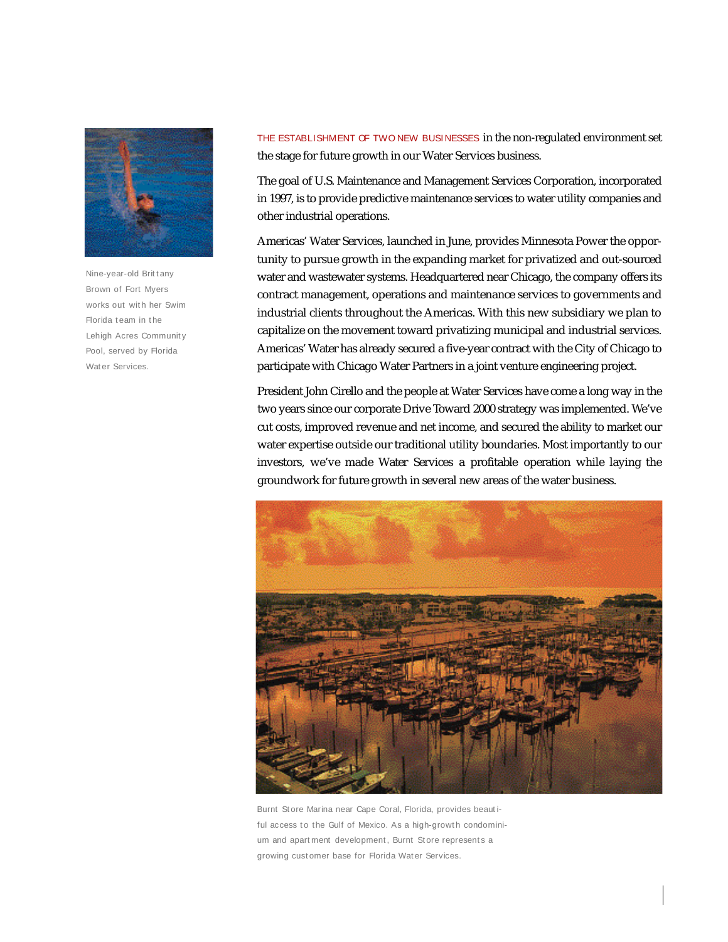

Nine-year-old Brittany Brown of Fort Myers works out with her Swim Florida team in the Lehigh Acres Communit y Pool, served by Florida Wat er Services.

THE ESTABLISHMENT OF TWO NEW BUSINESSES in the non-regulated environment set the stage for future growth in our Water Services business.

The goal of U.S. Maintenance and Management Services Corporation, incorporated in 1997, is to provide predictive maintenance services to water utility companies and other industrial operations.

Americas' Water Services, launched in June, provides Minnesota Power the opportunity to pursue growth in the expanding market for privatized and out-sourced water and wastewater systems. Headquartered near Chicago, the company offers its contract management, operations and maintenance services to governments and industrial clients throughout the Americas. With this new subsidiary we plan to capitalize on the movement toward privatizing municipal and industrial services. Americas' Water has already secured a five-year contract with the City of Chicago to participate with Chicago Water Partners in a joint venture engineering project.

President John Cirello and the people at Water Services have come a long way in the two years since our corporate Drive Toward 2000 strategy was implemented. We've cut costs, improved revenue and net income, and secured the ability to market our water expertise outside our traditional utility boundaries. Most importantly to our investors, we've made Water Services a profitable operation while laying the g roundwork for future growth in several new areas of the water business.



Burnt Store Marina near Cape Coral, Florida, provides beautiful access to the Gulf of Mexico. As a high-growth condominium and apartment development, Burnt Store represents a growing customer base for Florida Water Services.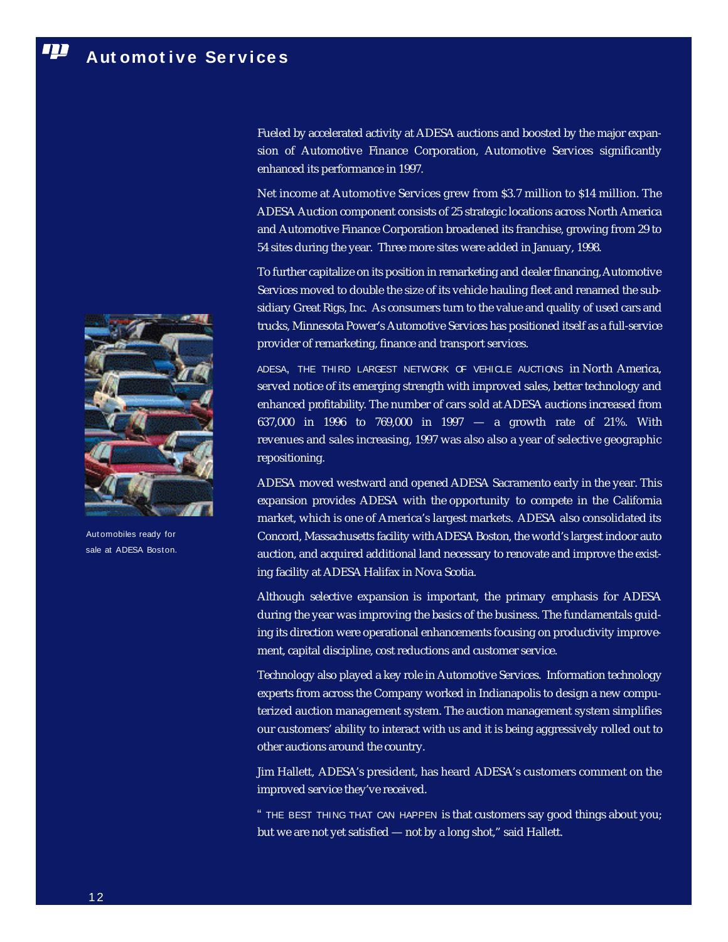Fueled by accelerated activity at ADESA auctions and boosted by the major expansion of Automotive Finance Corporation, Automotive Services significantly enhanced its performance in 1997.

Net income at Automotive Services grew from \$3.7 million to \$14 million. The ADESA Auction component consists of 25 strategic locations across North America and Automotive Finance Corporation broadened its franchise, growing from 29 to 54 sites during the year. Three more sites were added in January, 1998.

To further capitalize on its position in remarketing and dealer financing, Automotive Services moved to double the size of its vehicle hauling fleet and renamed the subsidiary Great Rigs, Inc. As consumers turn to the value and quality of used cars and trucks, Minnesota Power's Automotive Services has positioned itself as a full-service provider of remarketing, finance and transport services.

ADESA, THE THIRD LARGEST NETWORK OF VEHICLE AUCTIONS in North America, served notice of its emerging strength with improved sales, better technology and enhanced profitability. The number of cars sold at ADESA auctions increased from 637,000 in 1996 to 769,000 in 1997 — a growth rate of 21%. With revenues and sales increasing, 1997 was also also a year of selective geographic repositioning.

ADESA moved westward and opened ADESA Sacramento early in the year. This  $\overline{\text{expansion}}$  provides ADESA with the opportunity to compete in the California market, which is one of America's largest markets. ADESA also consolidated its Concord, Massachusetts facility with ADESA Boston, the world's largest indoor auto auction, and acquired additional land necessary to renovate and improve the existing facility at ADESA Halifax in Nova Scotia.

Although selective expansion is important, the primary emphasis for ADESA during the year was improving the basics of the business. The fundamentals guiding its direction were operational enhancements focusing on productivity improvement, capital discipline, cost reductions and customer service.

Technology also played a key role in Automotive Services. Information technology experts from across the Company worked in Indianapolis to design a new computerized auction management system. The auction management system simplifies our customers' ability to interact with us and it is being aggressively rolled out to other auctions around the country.

Jim Hallett, ADESA's president, has heard ADESA's customers comment on the im proved service they've received.

" THE BEST THING THAT CAN HAPPEN is that customers say good things about you; but we are not yet satisfied — not by a long shot," said Hallett.



Aut omobiles ready for sale at ADESA Boston.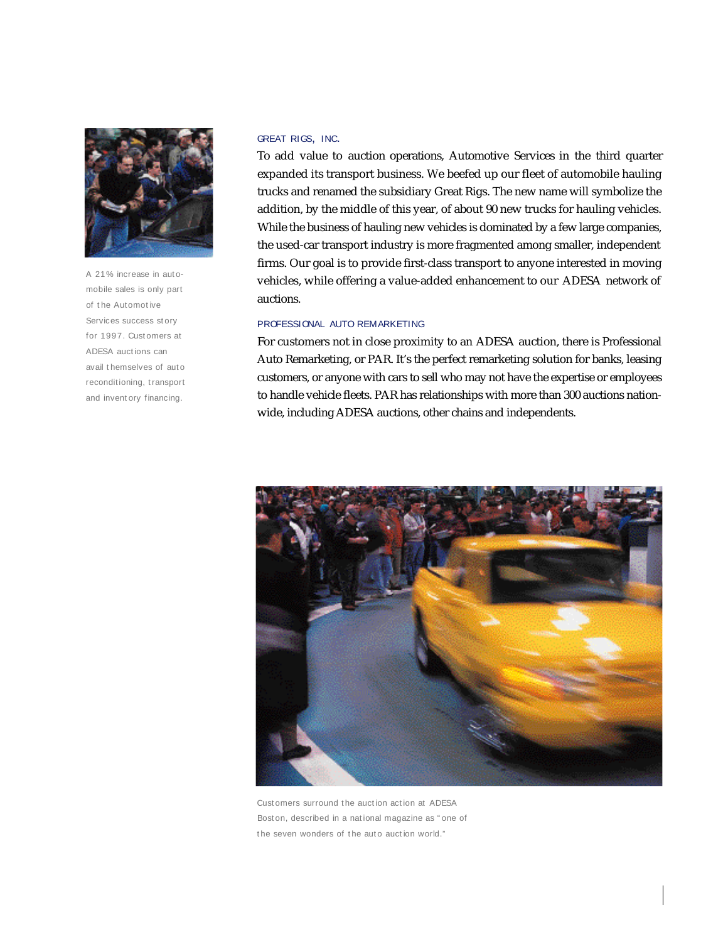

A 21% increase in aut omobile sales is only part of t he Automot ive Services success story for 1997. Customers at ADESA auct ions can avail themselves of auto reconditioning, t ransport and invent ory financing.

#### GREAT RIGS, INC.

To add value to auction operations, Automotive Services in the third quarter expanded its transport business. We beefed up our fleet of automobile hauling trucks and renamed the subsidiary Great Rigs. The new name will symbolize the addition, by the middle of this year, of about 90 new trucks for hauling vehicles. While the business of hauling new vehicles is dominated by a few large companies, the used-car transport industry is more fragmented among smaller, independent firms. Our goal is to provide first-class transport to anyone interested in moving vehicles, while offering a value-added enhancement to our ADESA network of auctions.

### PROFESSIONAL AUTO REMARKETING

For customers not in close proximity to an ADESA auction, there is Professional Auto Remarketing, or PAR. It's the perfect remarketing solution for banks, leasing customers, or anyone with cars to sell who may not have the expertise or employees to handle vehicle fleets. PAR has relationships with more than 300 auctions nationwide, including ADESA auctions, other chains and independents.



Cust omers surround the auction action at ADESA Bost on, described in a nat ional magazine as " one of the seven wonders of the auto auction world."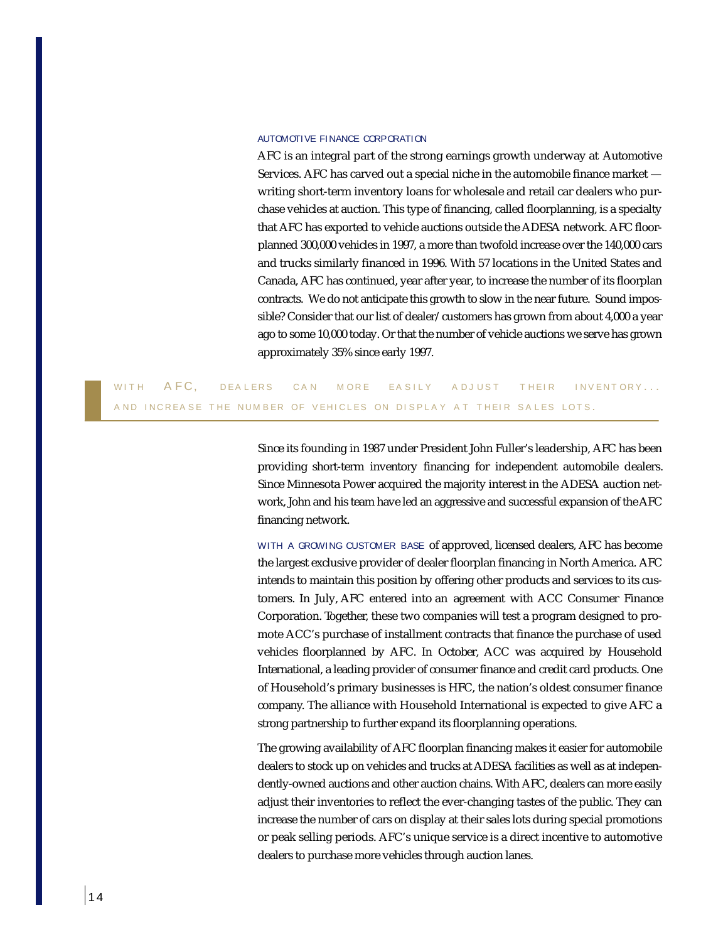#### AUTOMOTIVE FINANCE CORPORATION

AFC is an integral part of the strong earnings growth underway at Automotive Services. AFC has carved out a special niche in the automobile finance market writing short-term inventory loans for wholesale and retail car dealers who purchase vehicles at auction. This type of financing, called floorplanning, is a specialty that AFC has exported to vehicle auctions outside the ADESA network. AFC floorplanned 300,000 vehicles in 1997, a more than twofold increase over the 140,000 cars and trucks similarly financed in 1996. With 57 locations in the United States and Canada, AFC has continued, year after year, to increase the number of its floorplan contracts. We do not anticipate this growth to slow in the near future. Sound impossible? Consider that our list of dealer/customers has grown from about 4,000 a year ago to some 10,000 today. Or that the number of vehicle auctions we serve has grown approximately 35% since early 1997.

WITH AFC, DEALERS CAN MORE EASILY ADJUST THEIR INVENTORY... A ND IN CREASE THE NUMBER OF VEHICLES ON DISPLAY AT THEIR SALES LOTS.

> Since its founding in 1987 under President John Fuller's leadership, AFC has been p roviding short-term inventory financing for independent automobile dealers. Since Minnesota Power acquired the majority interest in the ADESA auction network, John and his team have led an aggressive and successful expansion of the AFC financing network.

> WITH A GROWING CUSTOMER BASE of approved, licensed dealers, AFC has become the largest exclusive provider of dealer floorplan financing in North America. AFC intends to maintain this position by offering other products and services to its customers. In July, AFC entered into an agreement with ACC Consumer Finance Corporation. Together, these two companies will test a program designed to promote ACC's purchase of installment contracts that finance the purchase of used vehicles floorplanned by AFC. In October, ACC was acquired by Household International, a leading provider of consumer finance and credit card products. One of Household's primary businesses is HFC, the nation's oldest consumer finance company. The alliance with Household International is expected to give AFC a strong partnership to further expand its floorplanning operations.

> The growing availability of AFC floorplan financing makes it easier for automobile dealers to stock up on vehicles and trucks at ADESA facilities as well as at independently-owned auctions and other auction chains. With AFC, dealers can more easily adjust their inventories to reflect the ever-changing tastes of the public. They can increase the number of cars on display at their sales lots during special promotions or peak selling periods. AFC's unique service is a direct incentive to automotive dealers to purchase more vehicles through auction lanes.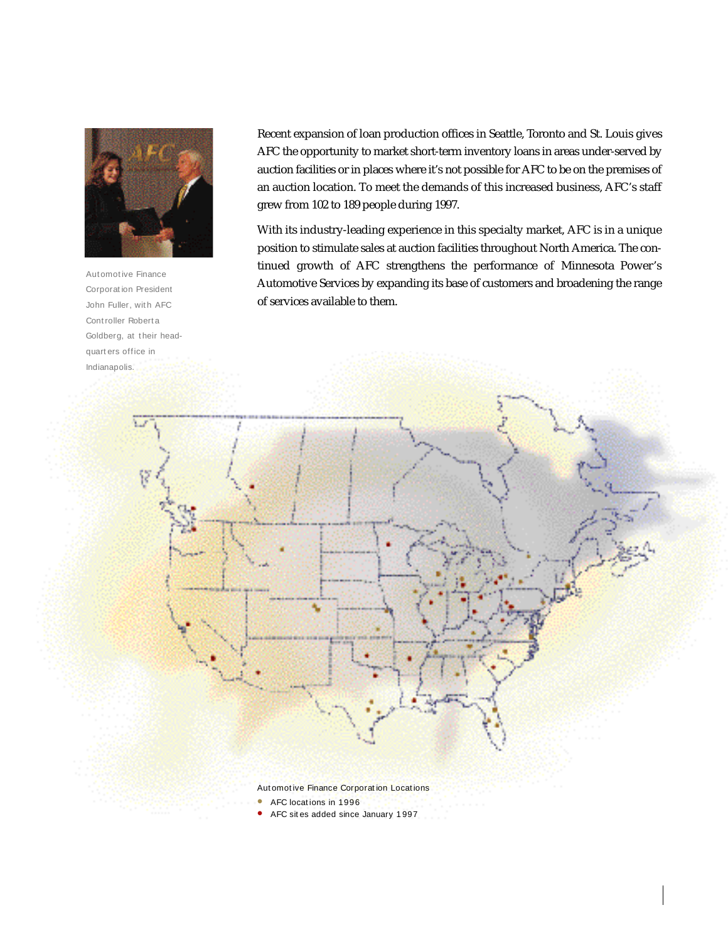

Aut omot ive Finance Corporat ion President John Fuller, with AFC Cont roller Robert a Goldberg, at their headquart ers office in Indianapolis.

Recent expansion of loan production offices in Seattle, Toronto and St. Louis gives AFC the opportunity to market short-term inventory loans in areas under-served by auction facilities or in places where it's not possible for AFC to be on the premises of an auction location. To meet the demands of this increased business, AFC's staff grew from 102 to 189 people during 1997.

With its industry-leading experience in this specialty market, AFC is in a unique position to stimulate sales at auction facilities throughout North America. The continued growth of AFC strengthens the performance of Minnesota Power's Automotive Services by expanding its base of customers and broadening the range of services available to them.

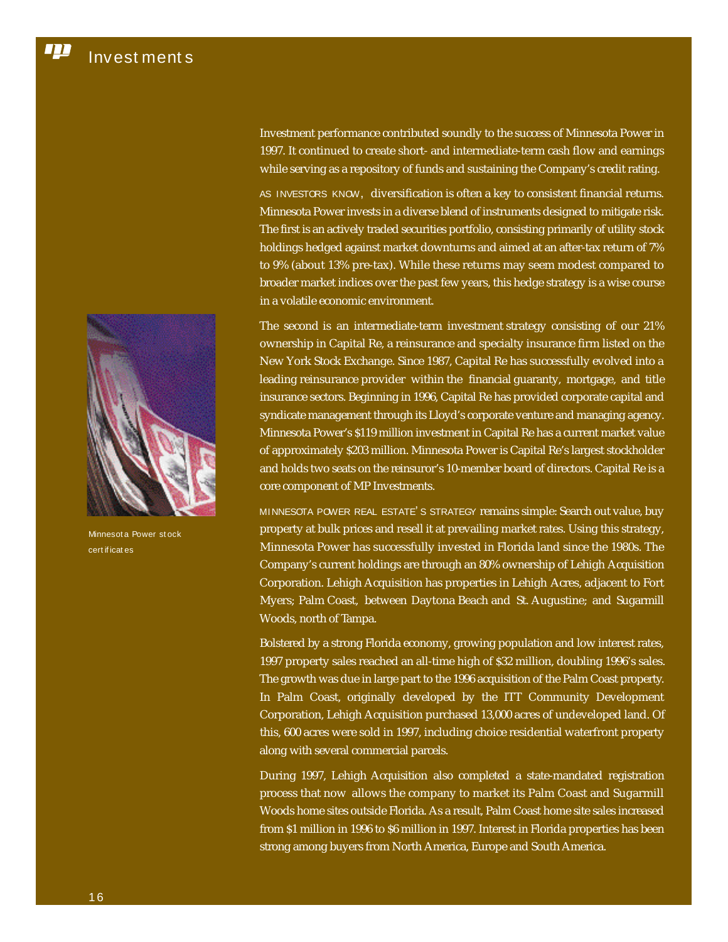

Minnesot a Power st ock cert if icat es

Investment performance contributed soundly to the success of Minnesota Power in 1997. It continued to create short- and intermediate-term cash flow and earnings while serving as a repository of funds and sustaining the Company's credit rating.

AS INVESTORS KNOW, diversification is often a key to consistent financial returns. Minnesota Power invests in a diverse blend of instruments designed to mitigate risk. The first is an actively traded securities portfolio, consisting primarily of utility stock holdings hedged against market downturns and aimed at an after-tax return of 7% to 9% (about 13% pre-tax). While these returns may seem modest compared to broader market indices over the past few years, this hedge strategy is a wise course in a volatile economic environment.

The second is an intermediate-term investment strategy consisting of our 21% ownership in Capital Re, a reinsurance and specialty insurance firm listed on the New York Stock Exchange. Since 1987, Capital Re has successfully evolved into a leading reinsurance provider within the financial guaranty, mortgage, and title insurance sectors. Beginning in 1996, Capital Re has provided corporate capital and syndicate management through its Lloyd's corporate venture and managing agency. Minnesota Power's \$119 million investment in Capital Re has a current market value of approximately \$203 million. Minnesota Power is Capital Re's largest stockholder and holds two seats on the reinsuror's 10-member board of directors. Capital Re is a core component of MP Investments.

MINNESOTA POWER REAL ESTATE' S STRATEGY remains simple: Search out value, buy property at bulk prices and resell it at prevailing market rates. Using this strategy, Minnesota Power has successfully invested in Florida land since the 1980s. The Company's current holdings are through an 80% ownership of Lehigh Acquisition Corporation. Lehigh Acquisition has properties in Lehigh Acres, adjacent to Fort Myers; Palm Coast, between Daytona Beach and St. Augustine; and Sugarmill Woods, north of Tampa.

Bolstered by a strong Florida economy, growing population and low interest rates, 1997 property sales reached an all-time high of \$32 million, doubling 1996's sales. The growth was due in large part to the 1996 acquisition of the Palm Coast property. In Palm Coast, originally developed by the ITT Community Development Corporation, Lehigh Acquisition purchased 13,000 acres of undeveloped land. Of this, 600 acres were sold in 1997, including choice residential waterfront property along with several commercial parcels.

During 1997, Lehigh Acquisition also completed a state-mandated registration process that now allows the company to market its Palm Coast and Sugarmill Woods home sites outside Florida. As a result, Palm Coast home site sales increased from \$1 million in 1996 to \$6 million in 1997. Interest in Florida properties has been strong among buyers from North America, Europe and South America.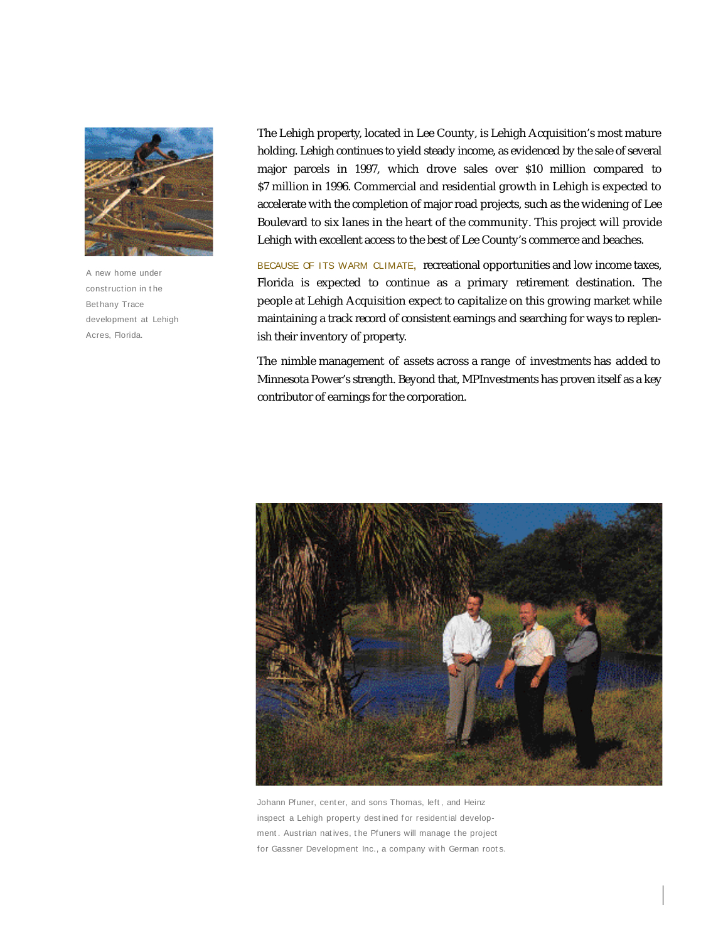

A new home under construction in the Bet hany Trace development at Lehigh Acres, Florida.

The Lehigh property, located in Lee County, is Lehigh Acquisition's most mature holding. Lehigh continues to yield steady income, as evidenced by the sale of several major parcels in 1997, which drove sales over \$10 million compared to \$7 million in 1996. Commercial and residential growth in Lehigh is expected to accelerate with the completion of major road projects, such as the widening of Lee Boulevard to six lanes in the heart of the community. This project will provide Lehigh with excellent access to the best of Lee County's commerce and beaches.

BECAUSE OF ITS WARM CLIMATE, recreational opportunities and low income taxes, Florida is expected to continue as a primary retirement destination. The people at Lehigh Acquisition expect to capitalize on this growing market while maintaining a track record of consistent earnings and searching for ways to replenish their inventory of property.

The nimble management of assets across a range of investments has added to Minnesota Power's strength. Beyond that, MPInvestments has proven itself as a key contributor of earnings for the corporation.



Johann Pfuner, center, and sons Thomas, left, and Heinz inspect a Lehigh property destined for residential development. Austrian natives, the Pfuners will manage the project for Gassner Development Inc., a company with German roots.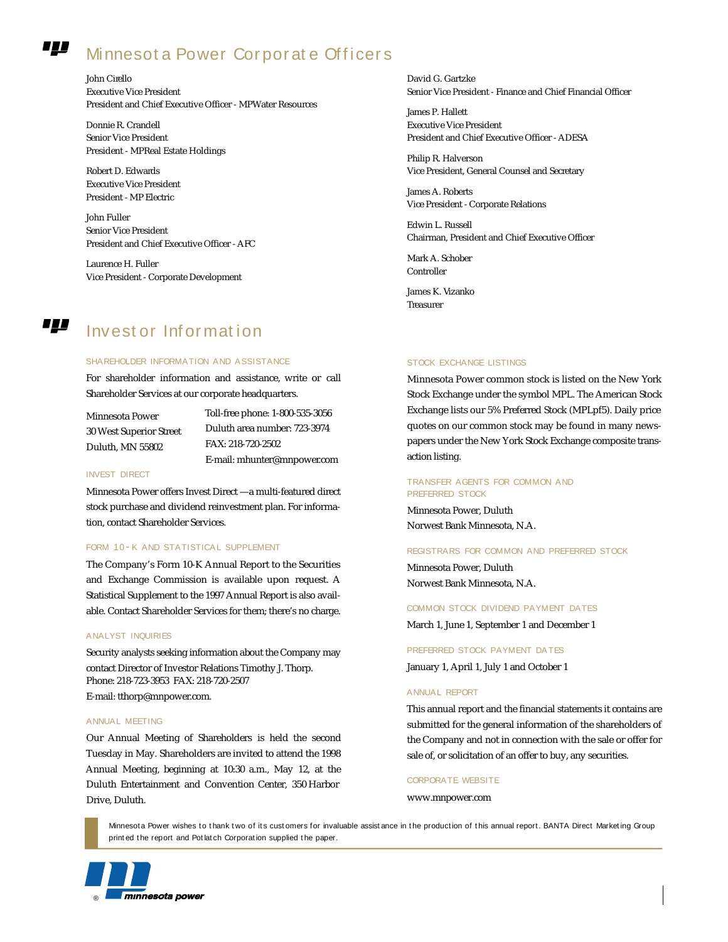#### ,,,, Minnesot a Power Corporate Officers

John Cirello Executive Vice President President and Chief Executive Officer - MPWater Resources

Donnie R. Crandell Senior Vice President President - MPReal Estate Holdings

Robert D. Edwards Executive Vice President President - MP Electric

John Fuller Senior Vice President President and Chief Executive Officer - AFC

Laurence H. Fuller Vice President - Corporate Development

Invest or Inf or mat ion

#### SHAREHOLDER INFORMATION AND ASSISTANCE

For shareholder information and assistance, write or call Shareholder Services at our corporate headquarters.

Minnesota Power  $30$  West Superior Street  $\,$ Duluth, MN 55802

Toll-free phone: 1-800-535-3056 Duluth area number: 723-3974 FAX: 218-720-2502 E-mail: mhunter@mnpower.com

#### INVEST DIRECT

,,,,

Minnesota Power offers Invest Direct —a multi-featured direct stock purchase and dividend reinvestment plan. For information, contact Shareholder Services.

#### FORM 10-K AND STATISTICAL SUPPLEMENT

The Company's Form 10-K Annual Report to the Securities and Exchange Commission is available upon request. A Statistical Supplement to the 1997 Annual Report is also available. Contact Shareholder Services for them; there's no charge.

#### ANALYST INQUIRIES

Security analysts seeking information about the Company may contact Director of Investor Relations Timothy J. Thorp. Phone: 218-723-3953 FAX: 218-720-2507

E-mail: tthorp@mnpower.com.

#### ANNUAL MEETING

Our Annual Meeting of Shareholders is held the second Tuesday in May. Shareholders are invited to attend the 1998 Annual Meeting, beginning at 10:30 a.m., May 12, at the Duluth Entertainment and Convention Center, 350 Harbor Drive, Duluth.

David G. Gartzke Senior Vice President - Finance and Chief Financial Officer

James P. Hallett Executive Vice President President and Chief Executive Officer - ADESA

Philip R. Halverson Vice President, General Counsel and Secretary

James A. Roberts Vice President - Corporate Relations

Edwin L. Russell Chairman, President and Chief Executive Officer

Mark A. Schober Controller

James K. Vizanko **Treasurer** 

#### STOCK EXCHANGE LISTINGS

Minnesota Power common stock is listed on the New York Stock Exchange under the symbol MPL. The American Stock Exchange lists our 5% Preferred Stock (MPLpf5). Daily price quotes on our common stock may be found in many newspapers under the New York Stock Exchange composite transaction listing.

#### TRANSFER AGENTS FOR COMMON AND PREFERRED STOCK

Minnesota Power, Duluth Norwest Bank Minnesota, N.A.

#### REGISTRARS FOR COMMON AND PREFERRED STOCK

Minnesota Power, Duluth Norwest Bank Minnesota, N.A.

COMMON STOCK DIVIDEND PAYMENT DATES

March 1, June 1, September 1 and December 1

### PREFERRED STOCK PAYMENT DA TES

January 1, April 1, July 1 and October 1

#### ANNUAL REPORT

This annual report and the financial statements it contains are submitted for the general information of the shareholders of the Company and not in connection with the sale or offer for sale of, or solicitation of an offer to buy, any securities.

#### CORPORATE WEBSITE

www.mnpower.com

Minnesota Power wishes to thank two of its customers for invaluable assistance in the production of this annual report. BANTA Direct Marketing Group print ed the report and Pot latch Corporation supplied t he paper.